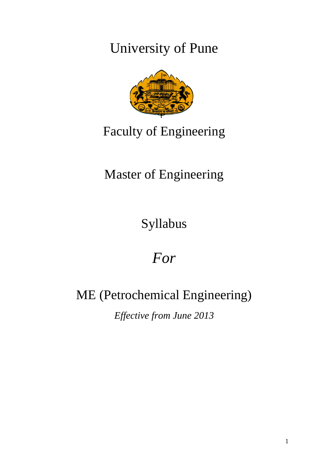University of Pune



## Faculty of Engineering

## Master of Engineering

Syllabus

# *For*

## ME (Petrochemical Engineering)

*Effective from June 2013*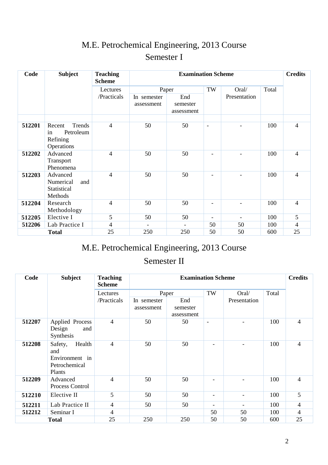## M.E. Petrochemical Engineering, 2013 Course Semester I

| Code   | <b>Subject</b>                                                | <b>Teaching</b><br><b>Scheme</b> |                           | <b>Examination Scheme</b>     | <b>Credits</b>           |                |       |                          |
|--------|---------------------------------------------------------------|----------------------------------|---------------------------|-------------------------------|--------------------------|----------------|-------|--------------------------|
|        |                                                               | Lectures<br>/Practicals          | Paper                     |                               | TW                       | Oral/          | Total |                          |
|        |                                                               |                                  | In semester<br>assessment | End<br>semester<br>assessment |                          | Presentation   |       |                          |
|        |                                                               |                                  |                           |                               |                          |                |       |                          |
| 512201 | Trends<br>Recent<br>Petroleum<br>in<br>Refining<br>Operations | $\overline{4}$                   | 50                        | 50                            | $\overline{\phantom{a}}$ |                | 100   | $\overline{4}$           |
| 512202 | Advanced<br>Transport<br>Phenomena                            | $\overline{4}$                   | 50                        | 50                            |                          |                | 100   | $\overline{4}$           |
| 512203 | Advanced<br>Numerical<br>and<br>Statistical<br>Methods        | $\overline{4}$                   | 50                        | 50                            |                          |                | 100   | $\overline{4}$           |
| 512204 | Research<br>Methodology                                       | $\overline{4}$                   | 50                        | 50                            |                          |                | 100   | $\overline{4}$           |
| 512205 | Elective I                                                    | 5                                | 50                        | 50                            | $\overline{\phantom{a}}$ | $\blacksquare$ | 100   | 5                        |
| 512206 | Lab Practice I                                                | 4                                |                           |                               | 50                       | 50             | 100   | $\overline{\mathcal{A}}$ |
|        | <b>Total</b>                                                  | 25                               | 250                       | 250                           | 50                       | 50             | 600   | 25                       |

## M.E. Petrochemical Engineering, 2013 Course

### Semester II

| Code   | <b>Subject</b>                                                        | <b>Teaching</b><br><b>Scheme</b> | <b>Examination Scheme</b> |                               |                          |              |       | <b>Credits</b> |
|--------|-----------------------------------------------------------------------|----------------------------------|---------------------------|-------------------------------|--------------------------|--------------|-------|----------------|
|        |                                                                       | Lectures                         | Paper                     |                               | TW                       | Oral/        | Total |                |
|        |                                                                       | /Practicals                      | In semester<br>assessment | End<br>semester<br>assessment |                          | Presentation |       |                |
| 512207 | <b>Applied Process</b><br>Design<br>and<br>Synthesis                  | $\overline{4}$                   | 50                        | 50                            | $\overline{\phantom{a}}$ |              | 100   | $\overline{4}$ |
| 512208 | Health<br>Safety,<br>and<br>Environment in<br>Petrochemical<br>Plants | 4                                | 50                        | 50                            |                          |              | 100   | $\overline{4}$ |
| 512209 | Advanced<br>Process Control                                           | 4                                | 50                        | 50                            |                          |              | 100   | $\overline{4}$ |
| 512210 | Elective II                                                           | 5                                | 50                        | 50                            | $\overline{\phantom{a}}$ |              | 100   | 5              |
| 512211 | Lab Practice II                                                       | 4                                | 50                        | 50                            | Ξ.                       |              | 100   | $\overline{4}$ |
| 512212 | Seminar I                                                             | 4                                |                           |                               | 50                       | 50           | 100   | $\overline{4}$ |
|        | <b>Total</b>                                                          | 25                               | 250                       | 250                           | 50                       | 50           | 600   | 25             |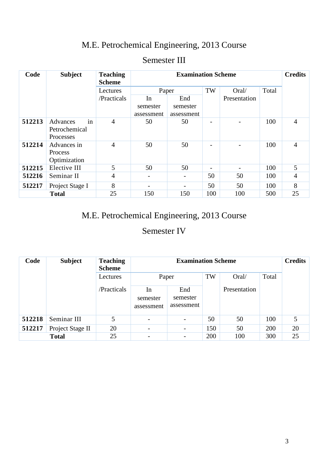### M.E. Petrochemical Engineering, 2013 Course

| Code   | <b>Subject</b>                               | <b>Teaching</b><br><b>Scheme</b> |                              | <b>Credits</b>                |     |              |       |                |
|--------|----------------------------------------------|----------------------------------|------------------------------|-------------------------------|-----|--------------|-------|----------------|
|        |                                              | Lectures                         | Paper                        |                               | TW  | Oral/        | Total |                |
|        |                                              | /Practicals                      | In<br>semester<br>assessment | End<br>semester<br>assessment |     | Presentation |       |                |
| 512213 | in<br>Advances<br>Petrochemical<br>Processes | 4                                | 50                           | 50                            |     |              | 100   | $\overline{4}$ |
| 512214 | Advances in<br>Process<br>Optimization       | 4                                | 50                           | 50                            |     |              | 100   | $\overline{4}$ |
| 512215 | Elective III                                 | 5                                | 50                           | 50                            |     |              | 100   | 5              |
| 512216 | Seminar II                                   | 4                                |                              | $\overline{\phantom{a}}$      | 50  | 50           | 100   | $\overline{4}$ |
| 512217 | Project Stage I                              | 8                                |                              |                               | 50  | 50           | 100   | 8              |
|        | <b>Total</b>                                 | 25                               | 150                          | 150                           | 100 | 100          | 500   | 25             |

### Semester III

### M.E. Petrochemical Engineering, 2013 Course

### Semester IV

| Code   | <b>Subject</b>   | <b>Teaching</b><br><b>Scheme</b> |                              | <b>Credits</b>                |     |              |       |    |
|--------|------------------|----------------------------------|------------------------------|-------------------------------|-----|--------------|-------|----|
|        |                  | Lectures                         | Paper                        |                               | TW  | Oral/        | Total |    |
|        |                  | /Practicals                      | In<br>semester<br>assessment | End<br>semester<br>assessment |     | Presentation |       |    |
| 512218 | Seminar III      | 5                                | $\overline{\phantom{0}}$     | $\overline{\phantom{a}}$      | 50  | 50           | 100   | 5  |
| 512217 | Project Stage II | 20                               | $\overline{\phantom{0}}$     | $\overline{\phantom{a}}$      | 150 | 50           | 200   | 20 |
|        | <b>Total</b>     | 25                               | $\overline{\phantom{0}}$     |                               | 200 | 100          | 300   | 25 |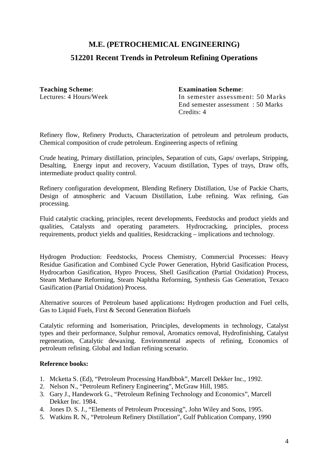### **512201 Recent Trends in Petroleum Refining Operations**

**Teaching Scheme**: **Examination Scheme**:

Lectures: 4 Hours/Week In semester assessment: 50 Marks End semester assessment : 50 Marks Credits: 4

Refinery flow, Refinery Products, Characterization of petroleum and petroleum products, Chemical composition of crude petroleum. Engineering aspects of refining

Crude heating, Primary distillation, principles, Separation of cuts, Gaps/ overlaps, Stripping, Desalting, Energy input and recovery, Vacuum distillation, Types of trays, Draw offs, intermediate product quality control.

Refinery configuration development, Blending Refinery Distillation, Use of Packie Charts, Design of atmospheric and Vacuum Distillation, Lube refining. Wax refining, Gas processing.

Fluid catalytic cracking, principles, recent developments, Feedstocks and product yields and qualities, Catalysts and operating parameters. Hydrocracking, principles, process requirements, product yields and qualities, Residcracking – implications and technology.

Hydrogen Production: Feedstocks, Process Chemistry, Commercial Processes: Heavy Residue Gasification and Combined Cycle Power Generation, Hybrid Gasification Process, Hydrocarbon Gasification, Hypro Process, Shell Gasification (Partial Oxidation) Process, Steam Methane Reforming, Steam Naphtha Reforming, Synthesis Gas Generation, Texaco Gasification (Partial Oxidation) Process.

Alternative sources of Petroleum based applications**:** Hydrogen production and Fuel cells, Gas to Liquid Fuels, First & Second Generation Biofuels

Catalytic reforming and Isomerisation, Principles, developments in technology, Catalyst types and their performance, Sulphur removal, Aromatics removal, Hydrofinishing, Catalyst regeneration, Catalytic dewaxing. Environmental aspects of refining, Economics of petroleum refining. Global and Indian refining scenario.

- 1. Mcketta S. (Ed), "Petroleum Processing Handbbok", Marcell Dekker Inc., 1992.
- 2. Nelson N., "Petroleum Refinery Engineering", McGraw Hill, 1985.
- 3. Gary J., Handework G., "Petroleum Refining Technology and Economics", Marcell Dekker Inc. 1984.
- 4. Jones D. S. J., "Elements of Petroleum Processing", John Wiley and Sons, 1995.
- 5. Watkins R. N., "Petroleum Refinery Distillation", Gulf Publication Company, 1990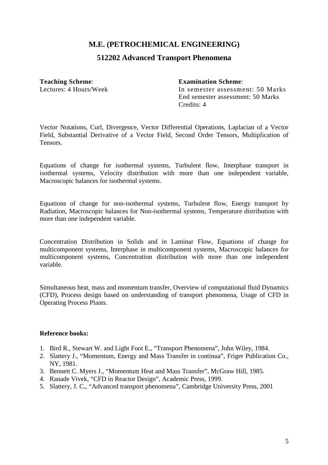#### **512202 Advanced Transport Phenomena**

**Teaching Scheme**: **Examination Scheme**:

Lectures: 4 Hours/Week In semester assessment: 50 Marks End semester assessment: 50 Marks

Credits: 4

Vector Notations, Curl, Divergence, Vector Differential Operations, Laplacian of a Vector Field, Substantial Derivative of a Vector Field, Second Order Tensors, Multiplication of Tensors.

Equations of change for isothermal systems, Turbulent flow, Interphase transport in isothermal systems, Velocity distribution with more than one independent variable, Macroscopic balances for isothermal systems.

Equations of change for non-isothermal systems, Turbulent flow, Energy transport by Radiation, Macroscopic balances for Non-isothermal systems, Temperature distribution with more than one independent variable.

Concentration Distribution in Solids and in Laminar Flow, Equations of change for multicomponent systems, Interphase in multicomponent systems, Macroscopic balances for multicomponent systems, Concentration distribution with more than one independent variable.

Simultaneous heat, mass and momentum transfer, Overview of computational fluid Dynamics (CFD), Process design based on understanding of transport phenomena, Usage of CFD in Operating Process Plants.

- 1. Bird R., Stewart W. and Light Foot E., "Transport Phenomena", John Wiley, 1984.
- 2. Slattery J., "Momentum, Energy and Mass Transfer in continua", Friger Publication Co., NY, 1981.
- 3. Bennett C. Myers J., "Momentum Heat and Mass Transfer", McGraw Hill, 1985.
- 4. Ranade Vivek, "CFD in Reactor Design", Academic Press, 1999.
- 5. Slattery, J. C., "Advanced transport phenomena", Cambridge University Press, 2001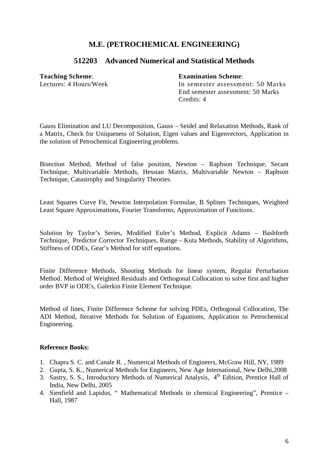#### **512203 Advanced Numerical and Statistical Methods**

#### **Teaching Scheme**: **Examination Scheme**:

Lectures: 4 Hours/Week In semester assessment: 50 Marks End semester assessment: 50 Marks Credits: 4

Gauss Elimination and LU Decomposition, Gauss – Seidel and Relaxation Methods, Rank of a Matrix, Check for Uniqueness of Solution, Eigen values and Eigenvectors, Application in the solution of Petrochemical Engineering problems.

Bisection Method, Method of false position, Newton – Raphson Technique, Secant Technique, Multivariable Methods, Hessian Matrix, Multivariable Newton – Raphson Technique, Catastrophy and Singularity Theories.

Least Squares Curve Fit, Newton Interpolation Formulae, B Splines Techniques, Weighted Least Square Approximations, Fourier Transforms, Approximation of Functions.

Solution by Taylor's Series, Modified Euler's Method, Explicit Adams – Bashforth Technique, Predictor Corrector Techniques, Runge – Kuta Methods, Stability of Algorithms, Stiffness of ODEs, Gear's Method for stiff equations.

Finite Difference Methods, Shooting Methods for linear system, Regular Perturbation Method. Method of Weighted Residuals and Orthogonal Collocation to solve first and higher order BVP in ODE's, Galerkin Finite Element Technique.

Method of lines, Finite Difference Scheme for solving PDEs, Orthogonal Collocation, The ADI Method, Iterative Methods for Solution of Equations, Application to Petrochemical Engineering.

- 1. Chapra S. C. and Canale R. , Numerical Methods of Engineers, McGraw Hill, NY, 1989
- 2. Gupta, S. K., Numerical Methods for Engineers, New Age International, New Delhi,2008
- 3. Sastry, S. S., Introductory Methods of Numerical Analysis, 4<sup>th</sup> Edition, Prentice Hall of India, New Delhi, 2005
- 4. Sienfield and Lapidus, " Mathematical Methods in chemical Engineering", Prentice Hall, 1987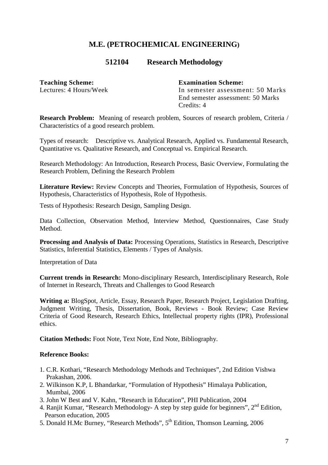#### **512104 Research Methodology**

**Teaching Scheme: Examination Scheme:** 

Lectures: 4 Hours/Week In semester assessment: 50 Marks End semester assessment: 50 Marks Credits: 4

**Research Problem:** Meaning of research problem, Sources of research problem, Criteria / Characteristics of a good research problem.

Types of research: Descriptive vs. Analytical Research, Applied vs. Fundamental Research, Quantitative vs. Qualitative Research, and Conceptual vs. Empirical Research.

Research Methodology: An Introduction, Research Process, Basic Overview, Formulating the Research Problem, Defining the Research Problem

Literature Review: Review Concepts and Theories, Formulation of Hypothesis, Sources of Hypothesis, Characteristics of Hypothesis, Role of Hypothesis.

Tests of Hypothesis: Research Design, Sampling Design.

Data Collection, Observation Method, Interview Method, Questionnaires, Case Study **Method** 

**Processing and Analysis of Data:** Processing Operations, Statistics in Research, Descriptive Statistics, Inferential Statistics, Elements / Types of Analysis.

Interpretation of Data

**Current trends in Research:** Mono-disciplinary Research, Interdisciplinary Research, Role of Internet in Research, Threats and Challenges to Good Research

**Writing a:** BlogSpot, Article, Essay, Research Paper, Research Project, Legislation Drafting, Judgment Writing, Thesis, Dissertation, Book, Reviews - Book Review; Case Review Criteria of Good Research, Research Ethics, Intellectual property rights (IPR), Professional ethics.

**Citation Methods:** Foot Note, Text Note, End Note, Bibliography.

- 1. C.R. Kothari, "Research Methodology Methods and Techniques", 2nd Edition Vishwa Prakashan, 2006.
- 2. Wilkinson K.P, L Bhandarkar, "Formulation of Hypothesis" Himalaya Publication, Mumbai, 2006
- 3. John W Best and V. Kahn, "Research in Education", PHI Publication, 2004
- 4. Ranjit Kumar, "Research Methodology- A step by step guide for beginners", 2<sup>nd</sup> Edition, Pearson education, 2005
- 5. Donald H.Mc Burney, "Research Methods", 5<sup>th</sup> Edition, Thomson Learning, 2006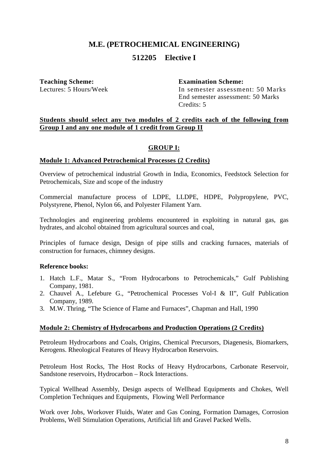#### **512205 Elective I**

**Teaching Scheme: Examination Scheme:** 

In semester assessment: 50 Marks End semester assessment: 50 Marks Credits: 5

#### **Students should select any two modules of 2 credits each of the following from Group I and any one module of 1 credit from Group II**

#### **GROUP I:**

#### **Module 1: Advanced Petrochemical Processes (2 Credits)**

Overview of petrochemical industrial Growth in India, Economics, Feedstock Selection for Petrochemicals, Size and scope of the industry

Commercial manufacture process of LDPE, LLDPE, HDPE, Polypropylene, PVC, Polystyrene, Phenol, Nylon 66, and Polyester Filament Yarn.

Technologies and engineering problems encountered in exploiting in natural gas, gas hydrates, and alcohol obtained from agricultural sources and coal,

Principles of furnace design, Design of pipe stills and cracking furnaces, materials of construction for furnaces, chimney designs.

#### **Reference books:**

- 1. Hatch L.F., Matar S., "From Hydrocarbons to Petrochemicals," Gulf Publishing Company, 1981.
- 2. Chauvel A., Lefebure G., "Petrochemical Processes Vol-I & II", Gulf Publication Company, 1989.
- 3. M.W. Thring, "The Science of Flame and Furnaces", Chapman and Hall, 1990

#### **Module 2: Chemistry of Hydrocarbons and Production Operations (2 Credits)**

Petroleum Hydrocarbons and Coals, Origins, Chemical Precursors, Diagenesis, Biomarkers, Kerogens. Rheological Features of Heavy Hydrocarbon Reservoirs.

Petroleum Host Rocks, The Host Rocks of Heavy Hydrocarbons, Carbonate Reservoir, Sandstone reservoirs, Hydrocarbon – Rock Interactions.

Typical Wellhead Assembly, Design aspects of Wellhead Equipments and Chokes, Well Completion Techniques and Equipments, Flowing Well Performance

Work over Jobs, Workover Fluids, Water and Gas Coning, Formation Damages, Corrosion Problems, Well Stimulation Operations, Artificial lift and Gravel Packed Wells.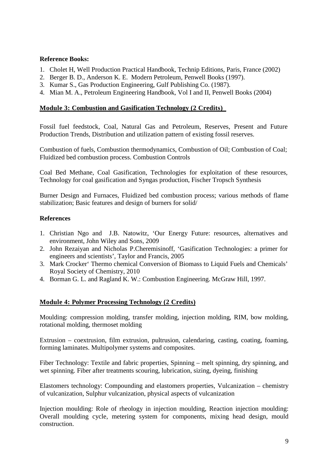#### **Reference Books:**

- 1. Cholet H, Well Production Practical Handbook, Technip Editions, Paris, France (2002)
- 2. Berger B. D., Anderson K. E. Modern Petroleum, Penwell Books (1997).
- 3. Kumar S., Gas Production Engineering, Gulf Publishing Co. (1987).
- 4. Mian M. A., Petroleum Engineering Handbook, Vol I and II, Penwell Books (2004)

#### **Module 3: Combustion and Gasification Technology (2 Credits)**

Fossil fuel feedstock, Coal, Natural Gas and Petroleum, Reserves, Present and Future Production Trends, Distribution and utilization pattern of existing fossil reserves.

Combustion of fuels, Combustion thermodynamics, Combustion of Oil; Combustion of Coal; Fluidized bed combustion process. Combustion Controls

Coal Bed Methane, Coal Gasification, Technologies for exploitation of these resources, Technology for coal gasification and Syngas production, Fischer Tropsch Synthesis

Burner Design and Furnaces, Fluidized bed combustion process; various methods of flame stabilization; Basic features and design of burners for solid/

#### **References**

- 1. Christian Ngo and J.B. Natowitz, 'Our Energy Future: resources, alternatives and environment, John Wiley and Sons, 2009
- 2. John Rezaiyan and Nicholas P.Cheremisinoff, 'Gasification Technologies: a primer for engineers and scientists', Taylor and Francis, 2005
- 3. Mark Crocker' Thermo chemical Conversion of Biomass to Liquid Fuels and Chemicals' Royal Society of Chemistry, 2010
- 4. Borman G. L. and Ragland K. W.: Combustion Engineering. McGraw Hill, 1997.

#### **Module 4: Polymer Processing Technology (2 Credits)**

Moulding: compression molding, transfer molding, injection molding, RIM, bow molding, rotational molding, thermoset molding

Extrusion – coextrusion, film extrusion, pultrusion, calendaring, casting, coating, foaming, forming laminates. Multipolymer systems and composites.

Fiber Technology: Textile and fabric properties, Spinning – melt spinning, dry spinning, and wet spinning. Fiber after treatments scouring, lubrication, sizing, dyeing, finishing

Elastomers technology: Compounding and elastomers properties, Vulcanization – chemistry of vulcanization, Sulphur vulcanization, physical aspects of vulcanization

Injection moulding: Role of rheology in injection moulding, Reaction injection moulding: Overall moulding cycle, metering system for components, mixing head design, mould construction.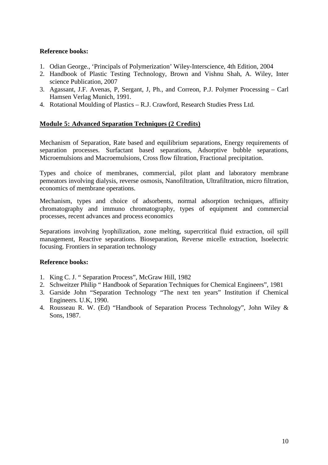#### **Reference books:**

- 1. Odian George., 'Principals of Polymerization' Wiley-Interscience, 4th Edition, 2004
- 2. Handbook of Plastic Testing Technology, Brown and Vishnu Shah, A. Wiley, Inter science Publication, 2007
- 3. Agassant, J.F. Avenas, P, Sergant, J, Ph., and Correon, P.J. Polymer Processing Carl Hamsen Verlag Munich, 1991.
- 4. Rotational Moulding of Plastics R.J. Crawford, Research Studies Press Ltd.

#### **Module 5: Advanced Separation Techniques (2 Credits)**

Mechanism of Separation, Rate based and equilibrium separations, Energy requirements of separation processes. Surfactant based separations, Adsorptive bubble separations, Microemulsions and Macroemulsions, Cross flow filtration, Fractional precipitation.

Types and choice of membranes, commercial, pilot plant and laboratory membrane pemeators involving dialysis, reverse osmosis, Nanofiltration, Ultrafiltration, micro filtration, economics of membrane operations.

Mechanism, types and choice of adsorbents, normal adsorption techniques, affinity chromatography and immuno chromatography, types of equipment and commercial processes, recent advances and process economics

Separations involving lyophilization, zone melting, supercritical fluid extraction, oil spill management, Reactive separations. Bioseparation, Reverse micelle extraction, Isoelectric focusing. Frontiers in separation technology

- 1. King C. J. " Separation Process", McGraw Hill, 1982
- 2. Schweitzer Philip " Handbook of Separation Techniques for Chemical Engineers", 1981
- 3. Garside John "Separation Technology "The next ten years" Institution if Chemical Engineers. U.K, 1990.
- 4. Rousseau R. W. (Ed) "Handbook of Separation Process Technology", John Wiley & Sons, 1987.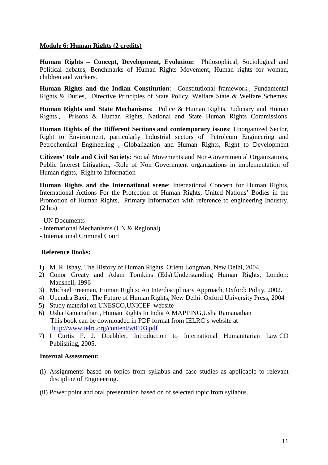#### **Module 6: Human Rights (2 credits)**

**Human Rights – Concept, Development, Evolution:** Philosophical, Sociological and Political debates, Benchmarks of Human Rights Movement, Human rights for woman, children and workers.

**Human Rights and the Indian Constitution**: Constitutional framework , Fundamental Rights & Duties, Directive Principles of State Policy, Welfare State & Welfare Schemes

**Human Rights and State Mechanisms**: Police & Human Rights, Judiciary and Human Rights , Prisons & Human Rights, National and State Human Rights Commissions

**Human Rights of the Different Sections and contemporary issues**: Unorganized Sector, Right to Environment, particularly Industrial sectors of Petroleum Engineering and Petrochemical Engineering , Globalization and Human Rights, Right to Development

**Citizens' Role and Civil Society**: Social Movements and Non-Governmental Organizations, Public Interest Litigation, -Role of Non Government organizations in implementation of Human rights, Right to Information

**Human Rights and the International scene**: International Concern for Human Rights, International Actions For the Protection of Human Rights, United Nations' Bodies in the Promotion of Human Rights, Primary Information with reference to engineering Industry. (2 hrs)

- UN Documents
- International Mechanisms (UN & Regional)
- International Criminal Court

#### **Reference Books:**

- 1) M. R. Ishay, The History of Human Rights*,* Orient Longman, New Delhi, 2004.
- 2) Conor Greaty and Adam Tomkins (Eds).Understanding Human Rights, London: Manshell, 1996
- 3) Michael Freeman, Human Rights: An Interdisciplinary Approach, Oxford: Polity, 2002.
- 4) Upendra Baxi,: The Future of Human Rights, New Delhi: Oxford University Press, 2004
- 5) Study material on UNESCO,UNICEF website
- 6) Usha Ramanathan , Human Rights In India A MAPPING,Usha Ramanathan This book can be downloaded in PDF format from IELRC's website at http://www.ielrc.org/content/w0103.pdf
- 7) I Curtis F. J. Doebbler, Introduction to International Humanitarian Law CD Publishing, 2005.

#### **Internal Assessment:**

- (i) Assignments based on topics from syllabus and case studies as applicable to relevant discipline of Engineering.
- (ii) Power point and oral presentation based on of selected topic from syllabus.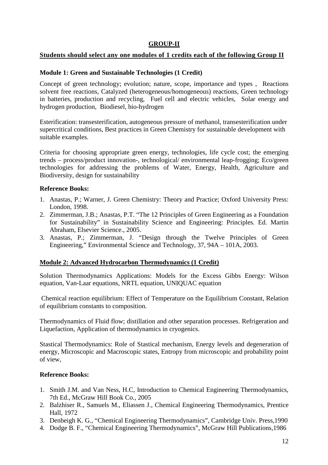#### **GROUP-II**

#### **Students should select any one modules of 1 credits each of the following Group II**

#### **Module 1: Green and Sustainable Technologies (1 Credit)**

Concept of green technology; evolution; nature, scope, importance and types , Reactions solvent free reactions, Catalyzed (heterogeneous/homogeneous) reactions, Green technology in batteries, production and recycling, Fuel cell and electric vehicles, Solar energy and hydrogen production, Biodiesel, bio-hydrogen

Esterification: transesterification, autogeneous pressure of methanol, transesterification under supercritical conditions, Best practices in Green Chemistry for sustainable development with suitable examples.

Criteria for choosing appropriate green energy, technologies, life cycle cost; the emerging trends – process/product innovation-, technological/ environmental leap-frogging; Eco/green technologies for addressing the problems of Water, Energy, Health, Agriculture and Biodiversity, design for sustainability

#### **Reference Books:**

- 1. Anastas, P.; Warner, J. Green Chemistry: Theory and Practice; Oxford University Press: London, 1998.
- 2. Zimmerman, J.B.; Anastas, P.T. "The 12 Principles of Green Engineering as a Foundation for Sustainability" in Sustainability Science and Engineering: Principles. Ed. Martin Abraham, Elsevier Science., 2005.
- 3. Anastas, P.; Zimmerman, J. "Design through the Twelve Principles of Green Engineering," Environmental Science and Technology, 37, 94A – 101A, 2003.

#### **Module 2: Advanced Hydrocarbon Thermodynamics (1 Credit)**

Solution Thermodynamics Applications: Models for the Excess Gibbs Energy: Wilson equation, Van-Laar equations, NRTL equation, UNIQUAC equation

Chemical reaction equilibrium: Effect of Temperature on the Equilibrium Constant, Relation of equilibrium constants to composition.

Thermodynamics of Fluid flow; distillation and other separation processes. Refrigeration and Liquefaction, Application of thermodynamics in cryogenics.

Stastical Thermodynamics: Role of Stastical mechanism, Energy levels and degeneration of energy, Microscopic and Macroscopic states, Entropy from microscopic and probability point of view,

- 1. Smith J.M. and Van Ness, H.C, Introduction to Chemical Engineering Thermodynamics, 7th Ed., McGraw Hill Book Co., 2005
- 2. Balzhiser R., Samuels M., Eliassen J., Chemical Engineering Thermodynamics, Prentice Hall, 1972
- 3. Denbeigh K. G., "Chemical Engineering Thermodynamics", Cambridge Univ. Press,1990
- 4. Dodge B. F., "Chemical Engineering Thermodynamics", McGraw Hill Publications,1986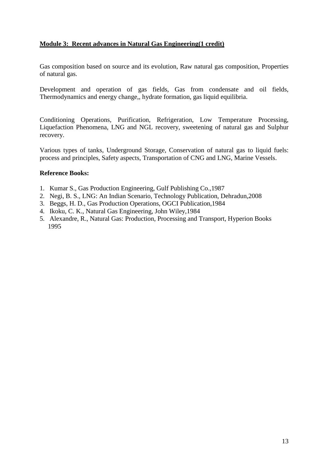#### **Module 3: Recent advances in Natural Gas Engineering(1 credit)**

Gas composition based on source and its evolution, Raw natural gas composition, Properties of natural gas.

Development and operation of gas fields, Gas from condensate and oil fields, Thermodynamics and energy change,, hydrate formation, gas liquid equilibria.

Conditioning Operations, Purification, Refrigeration, Low Temperature Processing, Liquefaction Phenomena, LNG and NGL recovery, sweetening of natural gas and Sulphur recovery.

Various types of tanks, Underground Storage, Conservation of natural gas to liquid fuels: process and principles, Safety aspects, Transportation of CNG and LNG, Marine Vessels.

- 1. Kumar S., Gas Production Engineering, Gulf Publishing Co.,1987
- 2. Negi, B. S., LNG: An Indian Scenario, Technology Publication, Dehradun,2008
- 3. Beggs, H. D., Gas Production Operations, OGCI Publication,1984
- 4. Ikoku, C. K., Natural Gas Engineering, John Wiley,1984
- 5. Alexandre, R., Natural Gas: Production, Processing and Transport, Hyperion Books 1995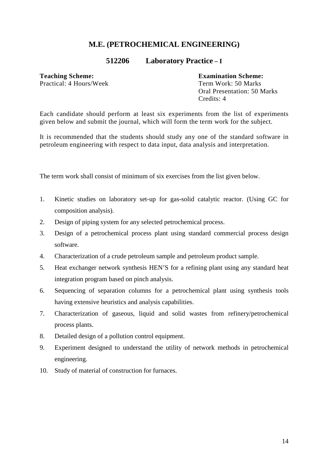#### **512206 Laboratory Practice – I**

**Teaching Scheme: Examination Scheme:** 

Practical: 4 Hours/Week Term Work: 50 Marks Oral Presentation: 50 Marks Credits: 4

Each candidate should perform at least six experiments from the list of experiments given below and submit the journal, which will form the term work for the subject.

It is recommended that the students should study any one of the standard software in petroleum engineering with respect to data input, data analysis and interpretation.

The term work shall consist of minimum of six exercises from the list given below.

- 1. Kinetic studies on laboratory set-up for gas-solid catalytic reactor. (Using GC for composition analysis).
- 2. Design of piping system for any selected petrochemical process.
- 3. Design of a petrochemical process plant using standard commercial process design software.
- 4. Characterization of a crude petroleum sample and petroleum product sample.
- 5. Heat exchanger network synthesis HEN'S for a refining plant using any standard heat integration program based on pinch analysis.
- 6. Sequencing of separation columns for a petrochemical plant using synthesis tools having extensive heuristics and analysis capabilities.
- 7. Characterization of gaseous, liquid and solid wastes from refinery/petrochemical process plants.
- 8. Detailed design of a pollution control equipment.
- 9. Experiment designed to understand the utility of network methods in petrochemical engineering.
- 10. Study of material of construction for furnaces.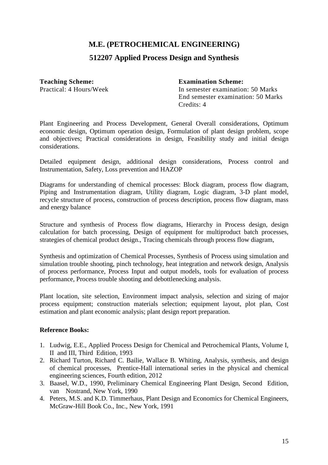#### **512207 Applied Process Design and Synthesis**

**Teaching Scheme:**<br> **Fractical:** 4 Hours/Week<br> **Fractical:** 4 Hours/Week<br> **Fractical:** 4 Hours/Week<br> **Fractical:** 4 Hours/Week<br> **Fractical:** 4 Hours/Week

In semester examination: 50 Marks End semester examination: 50 Marks Credits: 4

Plant Engineering and Process Development, General Overall considerations, Optimum economic design, Optimum operation design, Formulation of plant design problem, scope and objectives; Practical considerations in design, Feasibility study and initial design considerations.

Detailed equipment design, additional design considerations, Process control and Instrumentation, Safety, Loss prevention and HAZOP

Diagrams for understanding of chemical processes: Block diagram, process flow diagram, Piping and Instrumentation diagram, Utility diagram, Logic diagram, 3-D plant model, recycle structure of process, construction of process description, process flow diagram, mass and energy balance

Structure and synthesis of Process flow diagrams, Hierarchy in Process design, design calculation for batch processing, Design of equipment for multiproduct batch processes, strategies of chemical product design., Tracing chemicals through process flow diagram,

Synthesis and optimization of Chemical Processes, Synthesis of Process using simulation and simulation trouble shooting, pinch technology, heat integration and network design, Analysis of process performance, Process Input and output models, tools for evaluation of process performance, Process trouble shooting and debottlenecking analysis.

Plant location, site selection, Environment impact analysis, selection and sizing of major process equipment; construction materials selection; equipment layout, plot plan, Cost estimation and plant economic analysis; plant design report preparation.

- 1. Ludwig, E.E., Applied Process Design for Chemical and Petrochemical Plants, Volume I, II and III, Third Edition, 1993
- 2. Richard Turton, Richard C. Bailie, Wallace B. Whiting, Analysis, synthesis, and design of chemical processes, Prentice-Hall international series in the physical and chemical engineering sciences, Fourth edition, 2012
- 3. Baasel, W.D., 1990, Preliminary Chemical Engineering Plant Design, Second Edition, van Nostrand, New York, 1990
- 4. Peters, M.S. and K.D. Timmerhaus, Plant Design and Economics for Chemical Engineers, McGraw-Hill Book Co., Inc., New York, 1991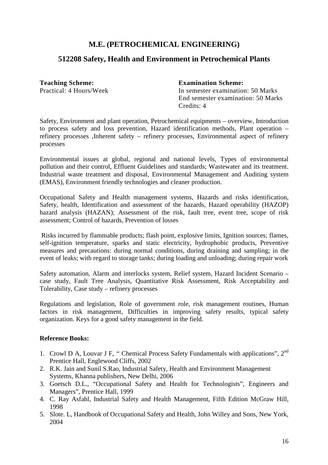#### **512208 Safety, Health and Environment in Petrochemical Plants**

**Teaching Scheme: Examination Scheme:** 

Practical: 4 Hours/Week In semester examination: 50 Marks End semester examination: 50 Marks Credits: 4

Safety, Environment and plant operation, Petrochemical equipments – overview, Introduction to process safety and loss prevention, Hazard identification methods, Plant operation – refinery processes ,Inherent safety – refinery processes, Environmental aspect of refinery processes

Environmental issues at global, regional and national levels, Types of environmental pollution and their control, Effluent Guidelines and standards; Wastewater and its treatment. Industrial waste treatment and disposal, Environmental Management and Auditing system (EMAS), Environment friendly technologies and cleaner production.

Occupational Safety and Health management systems, Hazards and risks identification, Safety, health, Identification and assessment of the hazards, Hazard operability (HAZOP) hazard analysis (HAZAN); Assessment of the risk, fault tree, event tree, scope of risk assessment; Control of hazards, Prevention of losses

 Risks incurred by flammable products; flash point, explosive limits, Ignition sources; flames, self-ignition temperature, sparks and static electricity, hydrophobic products, Preventive measures and precautions: during normal conditions, during draining and sampling; in the event of leaks; with regard to storage tanks; during loading and unloading; during repair work

Safety automation, Alarm and interlocks system, Relief system, Hazard Incident Scenario – case study, Fault Tree Analysis, Quantitative Risk Assessment, Risk Acceptability and Tolerability, Case study – refinery processes

Regulations and legislation, Role of government role, risk management routines, Human factors in risk management, Difficulties in improving safety results, typical safety organization. Keys for a good safety management in the field.

- 1. Crowl D A, Louvar J F, " Chemical Process Safety Fundamentals with applications", 2<sup>nd</sup> Prentice Hall, Englewood Cliffs, 2002
- 2. R.K. Jain and Sunil S.Rao, Industrial Safety, Health and Environment Management Systems, Khanna publishers, New Delhi, 2006
- 3. Goetsch D.L., "Occupational Safety and Health for Technologists", Engineers and Managers", Prentice Hall, 1999
- 4. C. Ray Asfahl, Industrial Safety and Health Management, Fifth Edition McGraw Hill, 1998
- 5. Slote. L, Handbook of Occupational Safety and Health, John Willey and Sons, New York, 2004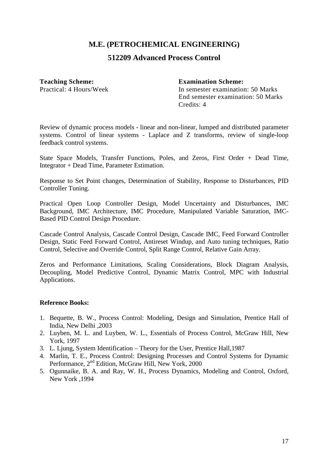#### **512209 Advanced Process Control**

**Teaching Scheme:**<br> **Fractical:** 4 Hours/Week<br> **Fractical:** 4 Hours/Week<br> **Fractical:** 4 Hours/Week<br> **Fractical:** 4 Hours/Week<br> **Fractical:** 4 Hours/Week

In semester examination: 50 Marks End semester examination: 50 Marks Credits: 4

Review of dynamic process models - linear and non-linear, lumped and distributed parameter systems. Control of linear systems - Laplace and Z transforms, review of single-loop feedback control systems.

State Space Models, Transfer Functions, Poles, and Zeros, First Order + Dead Time, Integrator + Dead Time, Parameter Estimation.

Response to Set Point changes, Determination of Stability, Response to Disturbances, PID Controller Tuning.

Practical Open Loop Controller Design, Model Uncertainty and Disturbances, IMC Background, IMC Architecture, IMC Procedure, Manipulated Variable Saturation, IMC-Based PID Control Design Procedure.

Cascade Control Analysis, Cascade Control Design, Cascade IMC, Feed Forward Controller Design, Static Feed Forward Control, Antireset Windup, and Auto tuning techniques, Ratio Control, Selective and Override Control, Split Range Control, Relative Gain Array.

Zeros and Performance Limitations, Scaling Considerations, Block Diagram Analysis, Decoupling, Model Predictive Control, Dynamic Matrix Control, MPC with Industrial Applications.

- 1. Bequette, B. W., Process Control: Modeling, Design and Simulation, Prentice Hall of India, New Delhi ,2003
- 2. Luyben, M. L. and Luyben, W. L., Essentials of Process Control, McGraw Hill, New York, 1997
- 3. L. Ljung, System Identification Theory for the User, Prentice Hall,1987
- 4. Marlin, T. E., Process Control: Designing Processes and Control Systems for Dynamic Performance, 2<sup>nd</sup> Edition, McGraw Hill, New York, 2000
- 5. Ogunnaike, B. A. and Ray, W. H., Process Dynamics, Modeling and Control, Oxford, New York ,1994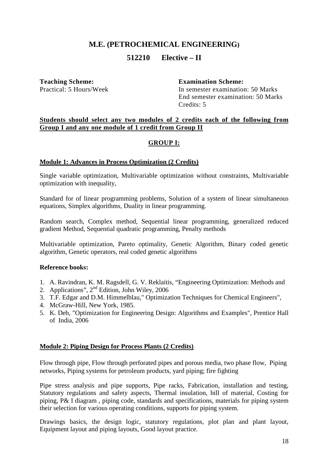#### **512210 Elective – II**

**Teaching Scheme:**<br> **Fractical:** 5 Hours/Week **Examination Scheme:**<br> **In semester examination** 

In semester examination: 50 Marks End semester examination: 50 Marks Credits: 5

#### **Students should select any two modules of 2 credits each of the following from Group I and any one module of 1 credit from Group II**

#### **GROUP I:**

#### **Module 1: Advances in Process Optimization (2 Credits)**

Single variable optimization, Multivariable optimization without constraints, Multivariable optimization with inequality,

Standard for of linear programming problems, Solution of a system of linear simultaneous equations, Simplex algorithms, Duality in linear programming.

Random search, Complex method, Sequential linear programming, generalized reduced gradient Method, Sequential quadratic programming, Penalty methods

Multivariable optimization, Pareto optimality, Genetic Algorithm, Binary coded genetic algorithm, Genetic operators, real coded genetic algorithms

#### **Reference books:**

- 1. A. Ravindran, K. M. Ragsdell, G. V. Reklaitis, "Engineering Optimization: Methods and
- 2. Applications", 2nd Edition, John Wiley, 2006
- 3. T.F. Edgar and D.M. Himmelblau," Optimization Techniques for Chemical Engineers",
- 4. McGraw-Hill, New York, 1985.
- 5. K. Deb, "Optimization for Engineering Design: Algorithms and Examples", Prentice Hall of India, 2006

#### **Module 2: Piping Design for Process Plants (2 Credits)**

Flow through pipe, Flow through perforated pipes and porous media, two phase flow, Piping networks, Piping systems for petroleum products, yard piping; fire fighting

Pipe stress analysis and pipe supports, Pipe racks, Fabrication, installation and testing, Statutory regulations and safety aspects, Thermal insulation, bill of material, Costing for piping, P& I diagram , piping code, standards and specifications, materials for piping system their selection for various operating conditions, supports for piping system.

Drawings basics, the design logic, statutory regulations, plot plan and plant layout, Equipment layout and piping layouts, Good layout practice.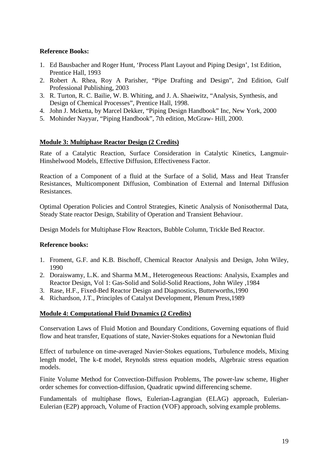#### **Reference Books:**

- 1. Ed Bausbacher and Roger Hunt, 'Process Plant Layout and Piping Design', 1st Edition, Prentice Hall, 1993
- 2. Robert A. Rhea, Roy A Parisher, "Pipe Drafting and Design", 2nd Edition, Gulf Professional Publishing, 2003
- 3. R. Turton, R. C. Bailie, W. B. Whiting, and J. A. Shaeiwitz, "Analysis, Synthesis, and Design of Chemical Processes", Prentice Hall, 1998.
- 4. John J. Mcketta, by Marcel Dekker, "Piping Design Handbook" Inc, New York, 2000
- 5. Mohinder Nayyar, "Piping Handbook", 7th edition, McGraw- Hill, 2000.

#### **Module 3: Multiphase Reactor Design (2 Credits)**

Rate of a Catalytic Reaction, Surface Consideration in Catalytic Kinetics, Langmuir-Hinshelwood Models, Effective Diffusion, Effectiveness Factor.

Reaction of a Component of a fluid at the Surface of a Solid, Mass and Heat Transfer Resistances, Multicomponent Diffusion, Combination of External and Internal Diffusion Resistances.

Optimal Operation Policies and Control Strategies, Kinetic Analysis of Nonisothermal Data, Steady State reactor Design, Stability of Operation and Transient Behaviour.

Design Models for Multiphase Flow Reactors, Bubble Column, Trickle Bed Reactor.

#### **Reference books:**

- 1. Froment, G.F. and K.B. Bischoff, Chemical Reactor Analysis and Design, John Wiley, 1990
- 2. Doraiswamy, L.K. and Sharma M.M., Heterogeneous Reactions: Analysis, Examples and Reactor Design, Vol 1: Gas-Solid and Solid-Solid Reactions, John Wiley ,1984
- 3. Rase, H.F., Fixed-Bed Reactor Design and Diagnostics, Butterworths,1990
- 4. Richardson, J.T., Principles of Catalyst Development, Plenum Press,1989

#### **Module 4: Computational Fluid Dynamics (2 Credits)**

Conservation Laws of Fluid Motion and Boundary Conditions, Governing equations of fluid flow and heat transfer, Equations of state, Navier-Stokes equations for a Newtonian fluid

Effect of turbulence on time-averaged Navier-Stokes equations, Turbulence models, Mixing length model, The k-ε model, Reynolds stress equation models, Algebraic stress equation models.

Finite Volume Method for Convection-Diffusion Problems, The power-law scheme, Higher order schemes for convection-diffusion, Quadratic upwind differencing scheme.

Fundamentals of multiphase flows, Eulerian-Lagrangian (ELAG) approach, Eulerian-Eulerian (E2P) approach, Volume of Fraction (VOF) approach, solving example problems.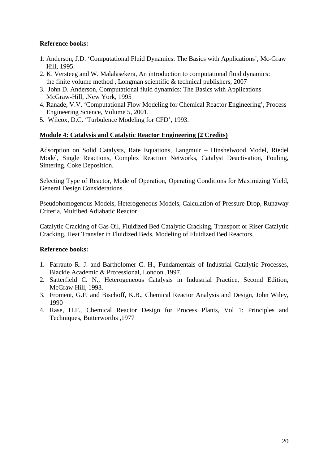#### **Reference books:**

- 1. Anderson, J.D. 'Computational Fluid Dynamics: The Basics with Applications', Mc-Graw Hill, 1995.
- 2. K. Versteeg and W. Malalasekera, An introduction to computational fluid dynamics: the finite volume method , Longman scientific & technical publishers, 2007
- 3. John D. Anderson, Computational fluid dynamics: The Basics with Applications McGraw-Hill, .New York, 1995
- 4. Ranade, V.V. 'Computational Flow Modeling for Chemical Reactor Engineering', Process Engineering Science, Volume 5, 2001.
- 5. Wilcox, D.C. 'Turbulence Modeling for CFD', 1993.

#### **Module 4: Catalysis and Catalytic Reactor Engineering (2 Credits)**

Adsorption on Solid Catalysts, Rate Equations, Langmuir – Hinshelwood Model, Riedel Model, Single Reactions, Complex Reaction Networks, Catalyst Deactivation, Fouling, Sintering, Coke Deposition.

Selecting Type of Reactor, Mode of Operation, Operating Conditions for Maximizing Yield, General Design Considerations.

Pseudohomogenous Models, Heterogeneous Models, Calculation of Pressure Drop, Runaway Criteria, Multibed Adiabatic Reactor

Catalytic Cracking of Gas Oil, Fluidized Bed Catalytic Cracking, Transport or Riser Catalytic Cracking, Heat Transfer in Fluidized Beds, Modeling of Fluidized Bed Reactors,

- 1. Farrauto R. J. and Bartholomer C. H., Fundamentals of Industrial Catalytic Processes, Blackie Academic & Professional, London ,1997.
- 2. Satterfield C. N., Heterogeneous Catalysis in Industrial Practice, Second Edition, McGraw Hill, 1993.
- 3. Froment, G.F. and Bischoff, K.B., Chemical Reactor Analysis and Design, John Wiley, 1990
- 4. Rase, H.F., Chemical Reactor Design for Process Plants, Vol 1: Principles and Techniques, Butterworths ,1977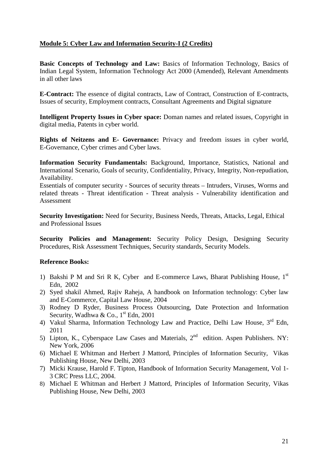#### **Module 5: Cyber Law and Information Security-I (2 Credits)**

**Basic Concepts of Technology and Law:** Basics of Information Technology, Basics of Indian Legal System, Information Technology Act 2000 (Amended), Relevant Amendments in all other laws

**E-Contract:** The essence of digital contracts, Law of Contract, Construction of E-contracts, Issues of security, Employment contracts, Consultant Agreements and Digital signature

**Intelligent Property Issues in Cyber space:** Doman names and related issues, Copyright in digital media, Patents in cyber world.

**Rights of Neitzens and E- Governance:** Privacy and freedom issues in cyber world, E-Governance, Cyber crimes and Cyber laws.

**Information Security Fundamentals:** Background, Importance, Statistics, National and International Scenario, Goals of security, Confidentiality, Privacy, Integrity, Non-repudiation, Availability.

Essentials of computer security - Sources of security threats – Intruders, Viruses, Worms and related threats - Threat identification - Threat analysis - Vulnerability identification and Assessment

**Security Investigation:** Need for Security, Business Needs, Threats, Attacks, Legal, Ethical and Professional Issues

**Security Policies and Management:** Security Policy Design, Designing Security Procedures, Risk Assessment Techniques, Security standards, Security Models.

- 1) Bakshi P M and Sri R K, Cyber and E-commerce Laws, Bharat Publishing House,  $1<sup>st</sup>$ Edn, 2002
- 2) Syed shakil Ahmed, Rajiv Raheja, A handbook on Information technology: Cyber law and E-Commerce, Capital Law House, 2004
- 3) Rodney D Ryder, Business Process Outsourcing, Date Protection and Information Security, Wadhwa & Co.,  $1<sup>st</sup>$  Edn, 2001
- 4) Vakul Sharma, Information Technology Law and Practice, Delhi Law House, 3<sup>rd</sup> Edn, 2011
- 5) Lipton, K., Cyberspace Law Cases and Materials, 2<sup>nd</sup> edition. Aspen Publishers. NY: New York, 2006
- 6) Michael E Whitman and Herbert J Mattord, Principles of Information Security, Vikas Publishing House, New Delhi, 2003
- 7) Micki Krause, Harold F. Tipton, Handbook of Information Security Management, Vol 1- 3 CRC Press LLC, 2004.
- 8) Michael E Whitman and Herbert J Mattord, Principles of Information Security, Vikas Publishing House, New Delhi, 2003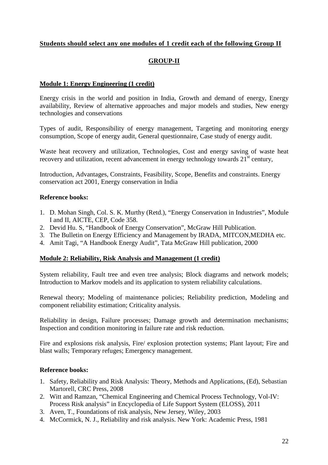#### **Students should select any one modules of 1 credit each of the following Group II**

#### **GROUP-II**

#### **Module 1: Energy Engineering (1 credit)**

Energy crisis in the world and position in India, Growth and demand of energy, Energy availability, Review of alternative approaches and major models and studies, New energy technologies and conservations

Types of audit, Responsibility of energy management, Targeting and monitoring energy consumption, Scope of energy audit, General questionnaire, Case study of energy audit.

Waste heat recovery and utilization, Technologies, Cost and energy saving of waste heat recovery and utilization, recent advancement in energy technology towards  $21<sup>st</sup>$  century,

Introduction, Advantages, Constraints, Feasibility, Scope, Benefits and constraints. Energy conservation act 2001, Energy conservation in India

#### **Reference books:**

- 1. D. Mohan Singh, Col. S. K. Murthy (Retd.), "Energy Conservation in Industries", Module I and II, AICTE, CEP, Code 358.
- 2. Devid Hu. S, "Handbook of Energy Conservation", McGraw Hill Publication.
- 3. The Bulletin on Energy Efficiency and Management by IRADA, MITCON,MEDHA etc.
- 4. Amit Tagi, "A Handbook Energy Audit", Tata McGraw Hill publication, 2000

#### **Module 2: Reliability, Risk Analysis and Management (1 credit)**

System reliability, Fault tree and even tree analysis; Block diagrams and network models; Introduction to Markov models and its application to system reliability calculations.

Renewal theory; Modeling of maintenance policies; Reliability prediction, Modeling and component reliability estimation; Criticality analysis.

Reliability in design, Failure processes; Damage growth and determination mechanisms; Inspection and condition monitoring in failure rate and risk reduction.

Fire and explosions risk analysis, Fire/ explosion protection systems; Plant layout; Fire and blast walls; Temporary refuges; Emergency management.

- 1. Safety, Reliability and Risk Analysis: Theory, Methods and Applications, (Ed), Sebastian Martorell, CRC Press, 2008
- 2. Witt and Ramzan, "Chemical Engineering and Chemical Process Technology, Vol-IV: Process Risk analysis" in Encyclopedia of Life Support System (ELOSS), 2011
- 3. Aven, T., Foundations of risk analysis, New Jersey, Wiley, 2003
- 4. McCormick, N. J., Reliability and risk analysis. New York: Academic Press, 1981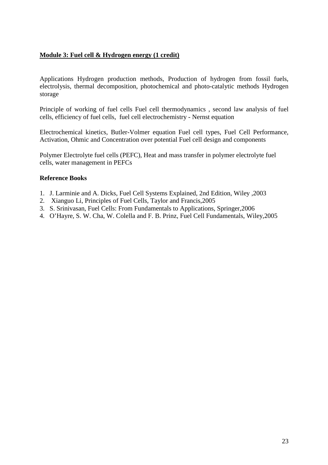#### **Module 3: Fuel cell & Hydrogen energy (1 credit)**

Applications Hydrogen production methods, Production of hydrogen from fossil fuels, electrolysis, thermal decomposition, photochemical and photo-catalytic methods Hydrogen storage

Principle of working of fuel cells Fuel cell thermodynamics , second law analysis of fuel cells, efficiency of fuel cells, fuel cell electrochemistry - Nernst equation

Electrochemical kinetics, Butler-Volmer equation Fuel cell types, Fuel Cell Performance, Activation, Ohmic and Concentration over potential Fuel cell design and components

Polymer Electrolyte fuel cells (PEFC), Heat and mass transfer in polymer electrolyte fuel cells, water management in PEFCs

- 1. J. Larminie and A. Dicks, Fuel Cell Systems Explained, 2nd Edition, Wiley ,2003
- 2. Xianguo Li, Principles of Fuel Cells, Taylor and Francis,2005
- 3. S. Srinivasan, Fuel Cells: From Fundamentals to Applications, Springer,2006
- 4. O'Hayre, S. W. Cha, W. Colella and F. B. Prinz, Fuel Cell Fundamentals, Wiley,2005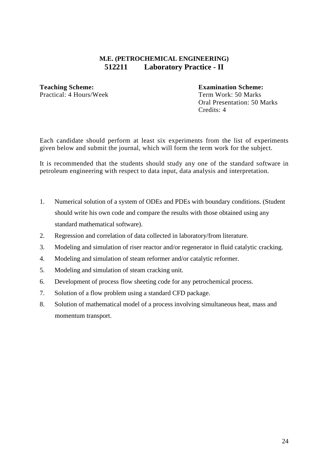#### **M.E. (PETROCHEMICAL ENGINEERING) 512211 Laboratory Practice - II**

#### **Teaching Scheme: Examination Scheme:**  Practical: 4 Hours/Week Term Work: 50 Marks

 Oral Presentation: 50 Marks Credits: 4

Each candidate should perform at least six experiments from the list of experiments given below and submit the journal, which will form the term work for the subject.

It is recommended that the students should study any one of the standard software in petroleum engineering with respect to data input, data analysis and interpretation.

- 1. Numerical solution of a system of ODEs and PDEs with boundary conditions. (Student should write his own code and compare the results with those obtained using any standard mathematical software).
- 2. Regression and correlation of data collected in laboratory/from literature.
- 3. Modeling and simulation of riser reactor and/or regenerator in fluid catalytic cracking.
- 4. Modeling and simulation of steam reformer and/or catalytic reformer.
- 5. Modeling and simulation of steam cracking unit.
- 6. Development of process flow sheeting code for any petrochemical process.
- 7. Solution of a flow problem using a standard CFD package.
- 8. Solution of mathematical model of a process involving simultaneous heat, mass and momentum transport.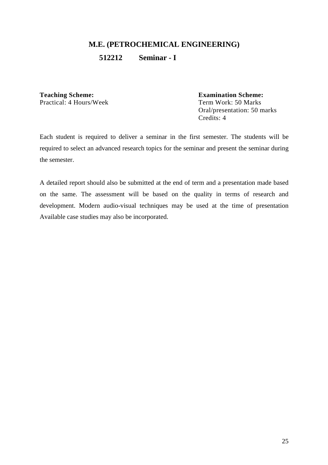**512212 Seminar - I** 

**Teaching Scheme:**<br> **Fractical:** 4 Hours/Week<br> **Fractical:** 4 Hours/Week<br> **Fractical:** 4 Hours/Week<br> **Fractical:** 4 Hours/Week<br> **Fractical:** 4 Hours/Week

Term Work: 50 Marks Oral/presentation: 50 marks Credits: 4

Each student is required to deliver a seminar in the first semester. The students will be required to select an advanced research topics for the seminar and present the seminar during the semester.

A detailed report should also be submitted at the end of term and a presentation made based on the same. The assessment will be based on the quality in terms of research and development. Modern audio-visual techniques may be used at the time of presentation Available case studies may also be incorporated.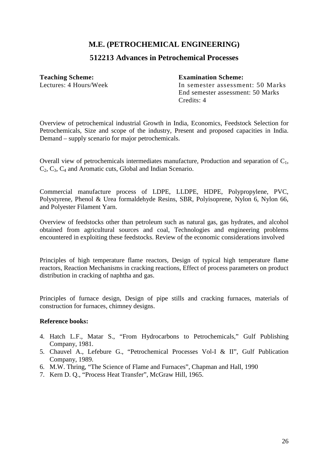#### **512213 Advances in Petrochemical Processes**

**Teaching Scheme: Examination Scheme:** 

Lectures: 4 Hours/Week In semester assessment: 50 Marks End semester assessment: 50 Marks Credits: 4

Overview of petrochemical industrial Growth in India, Economics, Feedstock Selection for Petrochemicals, Size and scope of the industry, Present and proposed capacities in India. Demand – supply scenario for major petrochemicals.

Overall view of petrochemicals intermediates manufacture, Production and separation of  $C_1$ ,  $C_2, C_3, C_4$  and Aromatic cuts, Global and Indian Scenario.

Commercial manufacture process of LDPE, LLDPE, HDPE, Polypropylene, PVC, Polystyrene, Phenol & Urea formaldehyde Resins, SBR, Polyisoprene, Nylon 6, Nylon 66, and Polyester Filament Yarn.

Overview of feedstocks other than petroleum such as natural gas, gas hydrates, and alcohol obtained from agricultural sources and coal, Technologies and engineering problems encountered in exploiting these feedstocks. Review of the economic considerations involved

Principles of high temperature flame reactors, Design of typical high temperature flame reactors, Reaction Mechanisms in cracking reactions, Effect of process parameters on product distribution in cracking of naphtha and gas.

Principles of furnace design, Design of pipe stills and cracking furnaces, materials of construction for furnaces, chimney designs.

- 4. Hatch L.F., Matar S., "From Hydrocarbons to Petrochemicals," Gulf Publishing Company, 1981.
- 5. Chauvel A., Lefebure G., "Petrochemical Processes Vol-I & II", Gulf Publication Company, 1989.
- 6. M.W. Thring, "The Science of Flame and Furnaces", Chapman and Hall, 1990
- 7. Kern D. Q., "Process Heat Transfer", McGraw Hill, 1965.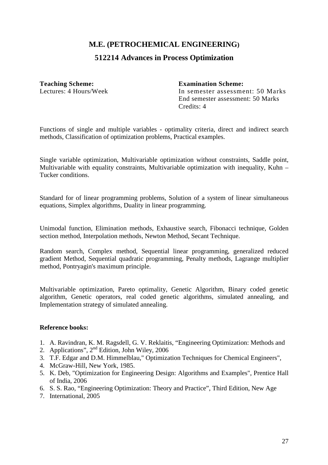#### **512214 Advances in Process Optimization**

#### **Teaching Scheme: Examination Scheme:**

Lectures: 4 Hours/Week In semester assessment: 50 Marks End semester assessment: 50 Marks Credits: 4

Functions of single and multiple variables - optimality criteria, direct and indirect search methods, Classification of optimization problems, Practical examples.

Single variable optimization, Multivariable optimization without constraints, Saddle point, Multivariable with equality constraints, Multivariable optimization with inequality, Kuhn – Tucker conditions.

Standard for of linear programming problems, Solution of a system of linear simultaneous equations, Simplex algorithms, Duality in linear programming.

Unimodal function, Elimination methods, Exhaustive search, Fibonacci technique, Golden section method, Interpolation methods, Newton Method, Secant Technique.

Random search, Complex method, Sequential linear programming, generalized reduced gradient Method, Sequential quadratic programming, Penalty methods, Lagrange multiplier method, Pontryagin's maximum principle.

Multivariable optimization, Pareto optimality, Genetic Algorithm, Binary coded genetic algorithm, Genetic operators, real coded genetic algorithms, simulated annealing, and Implementation strategy of simulated annealing.

- 1. A. Ravindran, K. M. Ragsdell, G. V. Reklaitis, "Engineering Optimization: Methods and
- 2. Applications", 2nd Edition, John Wiley, 2006
- 3. T.F. Edgar and D.M. Himmelblau," Optimization Techniques for Chemical Engineers",
- 4. McGraw-Hill, New York, 1985.
- 5. K. Deb, "Optimization for Engineering Design: Algorithms and Examples", Prentice Hall of India, 2006
- 6. S. S. Rao, "Engineering Optimization: Theory and Practice", Third Edition, New Age
- 7. International, 2005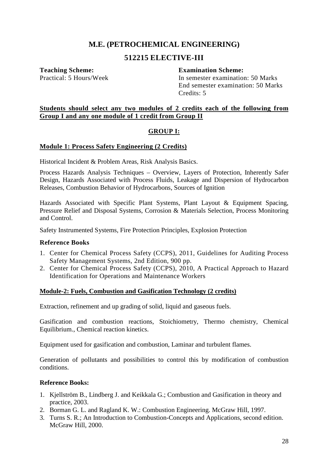#### **512215 ELECTIVE-III**

#### **Teaching Scheme: Examination Scheme:**

Practical: 5 Hours/Week In semester examination: 50 Marks End semester examination: 50 Marks Credits: 5

#### **Students should select any two modules of 2 credits each of the following from Group I and any one module of 1 credit from Group II**

#### **GROUP I:**

#### **Module 1: Process Safety Engineering (2 Credits)**

Historical Incident & Problem Areas, Risk Analysis Basics.

Process Hazards Analysis Techniques – Overview, Layers of Protection, Inherently Safer Design, Hazards Associated with Process Fluids, Leakage and Dispersion of Hydrocarbon Releases, Combustion Behavior of Hydrocarbons, Sources of Ignition

Hazards Associated with Specific Plant Systems, Plant Layout & Equipment Spacing, Pressure Relief and Disposal Systems, Corrosion & Materials Selection, Process Monitoring and Control.

Safety Instrumented Systems, Fire Protection Principles, Explosion Protection

#### **Reference Books**

- 1. Center for Chemical Process Safety (CCPS), 2011, Guidelines for Auditing Process Safety Management Systems, 2nd Edition, 900 pp.
- 2. Center for Chemical Process Safety (CCPS), 2010, A Practical Approach to Hazard Identification for Operations and Maintenance Workers

#### **Module-2: Fuels, Combustion and Gasification Technology (2 credits)**

Extraction, refinement and up grading of solid, liquid and gaseous fuels.

Gasification and combustion reactions, Stoichiometry, Thermo chemistry, Chemical Equilibrium., Chemical reaction kinetics.

Equipment used for gasification and combustion, Laminar and turbulent flames.

Generation of pollutants and possibilities to control this by modification of combustion conditions.

- 1. Kjellström B., Lindberg J. and Keikkala G.; Combustion and Gasification in theory and practice, 2003.
- 2. Borman G. L. and Ragland K. W.: Combustion Engineering. McGraw Hill, 1997.
- 3. Turns S. R.; An Introduction to Combustion-Concepts and Applications, second edition. McGraw Hill, 2000.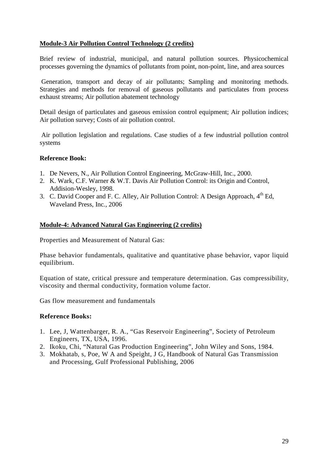#### **Module-3 Air Pollution Control Technology (2 credits)**

Brief review of industrial, municipal, and natural pollution sources. Physicochemical processes governing the dynamics of pollutants from point, non-point, line, and area sources

 Generation, transport and decay of air pollutants; Sampling and monitoring methods. Strategies and methods for removal of gaseous pollutants and particulates from process exhaust streams; Air pollution abatement technology

Detail design of particulates and gaseous emission control equipment; Air pollution indices; Air pollution survey; Costs of air pollution control.

 Air pollution legislation and regulations. Case studies of a few industrial pollution control systems

#### **Reference Book:**

- 1. De Nevers, N., Air Pollution Control Engineering, McGraw-Hill, Inc., 2000.
- 2. K. Wark, C.F. Warner & W.T. Davis Air Pollution Control: its Origin and Control, Addision-Wesley, 1998.
- 3. C. David Cooper and F. C. Alley, Air Pollution Control: A Design Approach,  $4<sup>th</sup>$  Ed, Waveland Press, Inc*.*, 2006

#### **Module-4: Advanced Natural Gas Engineering (2 credits)**

Properties and Measurement of Natural Gas:

Phase behavior fundamentals, qualitative and quantitative phase behavior, vapor liquid equilibrium.

Equation of state, critical pressure and temperature determination. Gas compressibility, viscosity and thermal conductivity, formation volume factor.

Gas flow measurement and fundamentals

- 1. Lee, J, Wattenbarger, R. A., "Gas Reservoir Engineering", Society of Petroleum Engineers, TX, USA, 1996.
- 2. Ikoku, Chi, "Natural Gas Production Engineering", John Wiley and Sons, 1984.
- 3. Mokhatab, s, Poe, W A and Speight, J G, Handbook of Natural Gas Transmission and Processing, Gulf Professional Publishing, 2006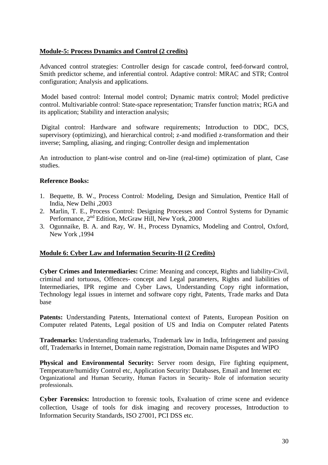#### **Module-5: Process Dynamics and Control (2 credits)**

Advanced control strategies: Controller design for cascade control, feed-forward control, Smith predictor scheme, and inferential control. Adaptive control: MRAC and STR; Control configuration; Analysis and applications.

 Model based control: Internal model control; Dynamic matrix control; Model predictive control. Multivariable control: State-space representation; Transfer function matrix; RGA and its application; Stability and interaction analysis;

 Digital control: Hardware and software requirements; Introduction to DDC, DCS, supervisory (optimizing), and hierarchical control; z-and modified z-transformation and their inverse; Sampling, aliasing, and ringing; Controller design and implementation

An introduction to plant-wise control and on-line (real-time) optimization of plant, Case studies.

#### **Reference Books:**

- 1. Bequette, B. W., Process Control*:* Modeling, Design and Simulation, Prentice Hall of India, New Delhi ,2003
- 2. Marlin, T. E., Process Control: Designing Processes and Control Systems for Dynamic Performance, 2<sup>nd</sup> Edition, McGraw Hill, New York, 2000
- 3. Ogunnaike, B. A. and Ray, W. H., Process Dynamics, Modeling and Control, Oxford, New York ,1994

#### **Module 6: Cyber Law and Information Security-II (2 Credits)**

**Cyber Crimes and Intermediaries:** Crime: Meaning and concept, Rights and liability-Civil, criminal and tortuous, Offences- concept and Legal parameters, Rights and liabilities of Intermediaries, IPR regime and Cyber Laws, Understanding Copy right information, Technology legal issues in internet and software copy right, Patents, Trade marks and Data base

Patents: Understanding Patents, International context of Patents, European Position on Computer related Patents, Legal position of US and India on Computer related Patents

**Trademarks:** Understanding trademarks, Trademark law in India, Infringement and passing off, Trademarks in Internet, Domain name registration, Domain name Disputes and WIPO

**Physical and Environmental Security:** Server room design, Fire fighting equipment, Temperature/humidity Control etc, Application Security: Databases, Email and Internet etc Organizational and Human Security, Human Factors in Security- Role of information security professionals.

**Cyber Forensics:** Introduction to forensic tools, Evaluation of crime scene and evidence collection, Usage of tools for disk imaging and recovery processes, Introduction to Information Security Standards, ISO 27001, PCI DSS etc.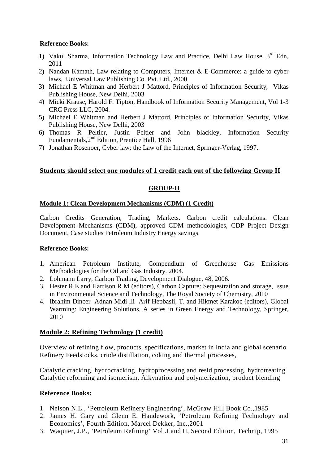#### **Reference Books:**

- 1) Vakul Sharma, Information Technology Law and Practice, Delhi Law House, 3<sup>rd</sup> Edn, 2011
- 2) Nandan Kamath, Law relating to Computers, Internet & E-Commerce: a guide to cyber laws, Universal Law Publishing Co. Pvt. Ltd., 2000
- 3) Michael E Whitman and Herbert J Mattord, Principles of Information Security, Vikas Publishing House, New Delhi, 2003
- 4) Micki Krause, Harold F. Tipton, Handbook of Information Security Management, Vol 1-3 CRC Press LLC, 2004.
- 5) Michael E Whitman and Herbert J Mattord, Principles of Information Security, Vikas Publishing House, New Delhi, 2003
- 6) Thomas R Peltier, Justin Peltier and John blackley, Information Security Fundamentals, 2<sup>nd</sup> Edition, Prentice Hall, 1996
- 7) Jonathan Rosenoer, Cyber law: the Law of the Internet, Springer-Verlag, 1997.

#### **Students should select one modules of 1 credit each out of the following Group II**

#### **GROUP-II**

#### **Module 1: Clean Development Mechanisms (CDM) (1 Credit)**

Carbon Credits Generation, Trading, Markets. Carbon credit calculations. Clean Development Mechanisms (CDM), approved CDM methodologies, CDP Project Design Document, Case studies Petroleum Industry Energy savings.

#### **Reference Books:**

- 1. American Petroleum Institute, Compendium of Greenhouse Gas Emissions Methodologies for the Oil and Gas Industry. 2004.
- 2. Lohmann Larry, Carbon Trading, Development Dialogue, 48, 2006.
- 3. Hester R E and Harrison R M (editors), Carbon Capture: Sequestration and storage, Issue in Environmental Science and Technology, The Royal Society of Chemistry, 2010
- 4. Ibrahim Dincer Adnan Midi lli Arif Hepbasli, T. and Hikmet Karakoc (editors), Global Warming: Engineering Solutions, A series in Green Energy and Technology, Springer, 2010

#### **Module 2: Refining Technology (1 credit)**

Overview of refining flow, products, specifications, market in India and global scenario Refinery Feedstocks, crude distillation, coking and thermal processes,

Catalytic cracking, hydrocracking, hydroprocessing and resid processing, hydrotreating Catalytic reforming and isomerism, Alkynation and polymerization, product blending

- 1. Nelson N.L., 'Petroleum Refinery Engineering', McGraw Hill Book Co.,1985
- 2. James H. Gary and Glenn E. Handework, 'Petroleum Refining Technology and Economics'*,* Fourth Edition, Marcel Dekker, Inc.,2001
- 3. Waquier, J.P., *'*Petroleum Refining' Vol .I and II, Second Edition, Technip, 1995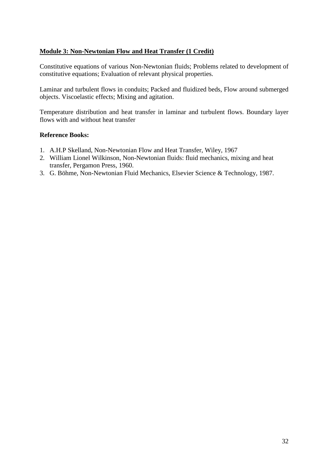#### **Module 3: Non-Newtonian Flow and Heat Transfer (1 Credit)**

Constitutive equations of various Non-Newtonian fluids; Problems related to development of constitutive equations; Evaluation of relevant physical properties.

Laminar and turbulent flows in conduits; Packed and fluidized beds, Flow around submerged objects. Viscoelastic effects; Mixing and agitation.

Temperature distribution and heat transfer in laminar and turbulent flows. Boundary layer flows with and without heat transfer

- 1. A.H.P Skelland, Non-Newtonian Flow and Heat Transfer, Wiley, 1967
- 2. William Lionel Wilkinson, Non-Newtonian fluids: fluid mechanics, mixing and heat transfer, Pergamon Press, 1960.
- 3. G. Böhme, Non-Newtonian Fluid Mechanics, Elsevier Science & Technology, 1987.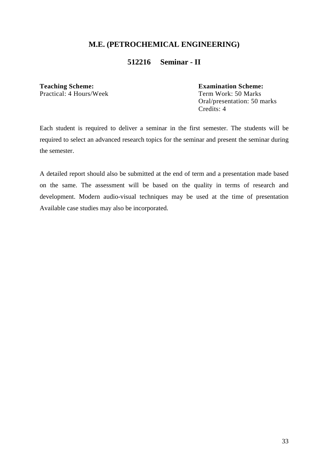#### **512216 Seminar - II**

**Teaching Scheme:**<br>
Practical: 4 Hours/Week<br>
Term Work: 50 Marks Practical: 4 Hours/Week

 Oral/presentation: 50 marks Credits: 4

Each student is required to deliver a seminar in the first semester. The students will be required to select an advanced research topics for the seminar and present the seminar during the semester.

A detailed report should also be submitted at the end of term and a presentation made based on the same. The assessment will be based on the quality in terms of research and development. Modern audio-visual techniques may be used at the time of presentation Available case studies may also be incorporated.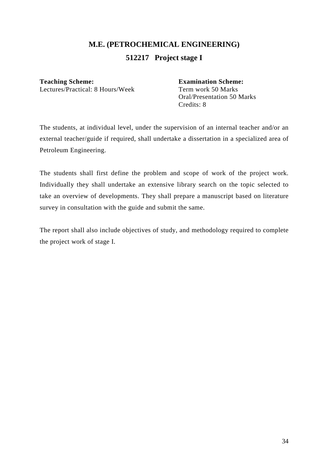### **M.E. (PETROCHEMICAL ENGINEERING) 512217 Project stage I**

**Teaching Scheme:**<br>
Lectures/Practical: 8 Hours/Week<br>
Term work 50 Marks Lectures/Practical: 8 Hours/Week

 Oral/Presentation 50 Marks Credits: 8

The students, at individual level, under the supervision of an internal teacher and/or an external teacher/guide if required, shall undertake a dissertation in a specialized area of Petroleum Engineering.

The students shall first define the problem and scope of work of the project work. Individually they shall undertake an extensive library search on the topic selected to take an overview of developments. They shall prepare a manuscript based on literature survey in consultation with the guide and submit the same.

The report shall also include objectives of study, and methodology required to complete the project work of stage I.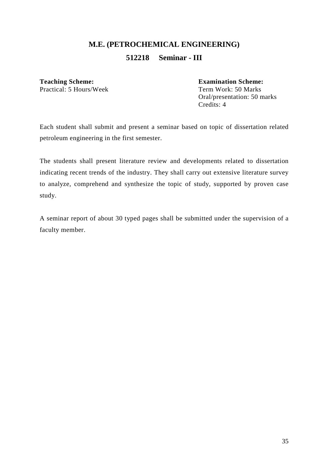### **M.E. (PETROCHEMICAL ENGINEERING) 512218 Seminar - III**

**Teaching Scheme: Examination Scheme:**  Practical: 5 Hours/Week

 Oral/presentation: 50 marks Credits: 4

Each student shall submit and present a seminar based on topic of dissertation related petroleum engineering in the first semester.

The students shall present literature review and developments related to dissertation indicating recent trends of the industry. They shall carry out extensive literature survey to analyze, comprehend and synthesize the topic of study, supported by proven case study.

A seminar report of about 30 typed pages shall be submitted under the supervision of a faculty member.